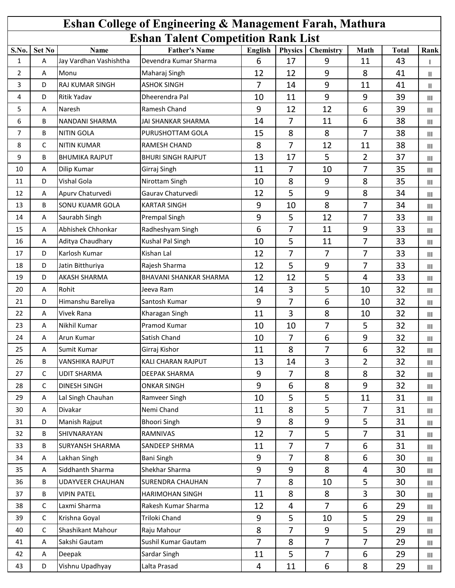| <b>Eshan College of Engineering &amp; Management Farah, Mathura</b> |              |                                |                                               |                |                      |                  |                |                    |      |  |
|---------------------------------------------------------------------|--------------|--------------------------------|-----------------------------------------------|----------------|----------------------|------------------|----------------|--------------------|------|--|
|                                                                     |              |                                | <b>Eshan Talent Competition Rank List</b>     |                |                      |                  |                |                    |      |  |
| S.No.<br>$\mathbf{1}$                                               | Set No<br>A  | Name<br>Jay Vardhan Vashishtha | <b>Father's Name</b><br>Devendra Kumar Sharma | English<br>6   | <b>Physics</b><br>17 | Chemistry<br>9   | Math<br>11     | <b>Total</b><br>43 | Rank |  |
| $\overline{2}$                                                      | A            | Monu                           | Maharaj Singh                                 | 12             | 12                   | 9                | 8              | 41                 |      |  |
| 3                                                                   | D            | RAJ KUMAR SINGH                | <b>ASHOK SINGH</b>                            | 7              | 14                   | 9                | 11             | 41                 | Ш    |  |
| 4                                                                   | D            | <b>Ritik Yadav</b>             | Dheerendra Pal                                | 10             | 11                   | 9                | 9              | 39                 | Ш.   |  |
|                                                                     |              | Naresh                         | Ramesh Chand                                  |                | 12                   | 12               | 6              |                    | III  |  |
| 5                                                                   | Α            |                                |                                               | 9              |                      |                  |                | 39                 | III  |  |
| 6                                                                   | В            | <b>NANDANI SHARMA</b>          | <b>JAI SHANKAR SHARMA</b>                     | 14             | 7                    | 11               | 6              | 38                 | Ш    |  |
| 7                                                                   | B            | <b>NITIN GOLA</b>              | PURUSHOTTAM GOLA                              | 15             | 8                    | 8                | 7              | 38                 | III  |  |
| 8                                                                   | $\mathsf C$  | <b>NITIN KUMAR</b>             | RAMESH CHAND                                  | 8              | $\overline{7}$       | 12               | 11             | 38                 | III  |  |
| 9                                                                   | В            | <b>BHUMIKA RAJPUT</b>          | <b>BHURI SINGH RAJPUT</b>                     | 13             | 17                   | 5                | $\overline{2}$ | 37                 | III  |  |
| 10                                                                  | А            | Dilip Kumar                    | Girraj Singh                                  | 11             | 7                    | 10               | 7              | 35                 | III  |  |
| 11                                                                  | D            | Vishal Gola                    | Nirottam Singh                                | 10             | 8                    | $\boldsymbol{9}$ | 8              | 35                 | Ш    |  |
| 12                                                                  | A            | Apurv Chaturvedi               | Gaurav Chaturvedi                             | 12             | 5                    | 9                | 8              | 34                 | III  |  |
| 13                                                                  | B            | <b>SONU KUAMR GOLA</b>         | <b>KARTAR SINGH</b>                           | 9              | 10                   | 8                | 7              | 34                 | Ш    |  |
| 14                                                                  | A            | Saurabh Singh                  | Prempal Singh                                 | 9              | 5                    | 12               | $\overline{7}$ | 33                 | III  |  |
| 15                                                                  | А            | Abhishek Chhonkar              | Radheshyam Singh                              | 6              | $\overline{7}$       | 11               | 9              | 33                 | III  |  |
| 16                                                                  | А            | Aditya Chaudhary               | Kushal Pal Singh                              | 10             | 5                    | 11               | $\overline{7}$ | 33                 | Ш    |  |
| 17                                                                  | D            | Karlosh Kumar                  | Kishan Lal                                    | 12             | 7                    | 7                | $\overline{7}$ | 33                 | III  |  |
| 18                                                                  | D            | Jatin Bitthuriya               | Rajesh Sharma                                 | 12             | 5                    | 9                | $\overline{7}$ | 33                 | III  |  |
| 19                                                                  | D            | <b>AKASH SHARMA</b>            | <b>BHAVANI SHANKAR SHARMA</b>                 | 12             | 12                   | 5                | 4              | 33                 | III  |  |
| 20                                                                  | А            | Rohit                          | Jeeva Ram                                     | 14             | 3                    | 5                | 10             | 32                 | Ш    |  |
| 21                                                                  | D            | Himanshu Bareliya              | Santosh Kumar                                 | 9              | $\overline{7}$       | 6                | 10             | 32                 | Ш    |  |
| 22                                                                  | A            | <b>Vivek Rana</b>              | Kharagan Singh                                | 11             | 3                    | 8                | 10             | 32                 | III  |  |
| 23                                                                  | Α            | Nikhil Kumar                   | Pramod Kumar                                  | 10             | 10                   | 7                | 5              | 32                 | Ш    |  |
| 24                                                                  | A            | Arun Kumar                     | Satish Chand                                  | 10             | 7                    | 6                | 9              | 32                 | III  |  |
| 25                                                                  | Α            | Sumit Kumar                    | Girraj Kishor                                 | 11             | 8                    | 7                | 6              | 32                 | Ш    |  |
| 26                                                                  | B            | VANSHIKA RAJPUT                | KALI CHARAN RAJPUT                            | 13             | 14                   | 3                | $\overline{2}$ | 32                 | Ш    |  |
| 27                                                                  | $\mathsf{C}$ | <b>UDIT SHARMA</b>             | DEEPAK SHARMA                                 | 9              | $\overline{7}$       | 8                | 8              | 32                 | Ш    |  |
| 28                                                                  | $\mathsf{C}$ | <b>DINESH SINGH</b>            | <b>ONKAR SINGH</b>                            | 9              | 6                    | 8                | 9              | 32                 | Ш    |  |
| 29                                                                  | Α            | Lal Singh Chauhan              | Ramveer Singh                                 | 10             | 5                    | 5                | 11             | 31                 | Ш    |  |
| 30                                                                  | Α            | Divakar                        | Nemi Chand                                    | 11             | 8                    | 5                | 7              | 31                 | Ш    |  |
| 31                                                                  | D            | Manish Rajput                  | <b>Bhoori Singh</b>                           | 9              | 8                    | 9                | 5              | 31                 | Ш    |  |
| 32                                                                  | B            | SHIVNARAYAN                    | RAMNIVAS                                      | 12             | $\overline{7}$       | 5                | $\overline{7}$ | 31                 | Ш    |  |
| 33                                                                  | B            | <b>SURYANSH SHARMA</b>         | SANDEEP SHRMA                                 | 11             | $\overline{7}$       | 7                | 6              | 31                 | Ш    |  |
| 34                                                                  | A            | Lakhan Singh                   | Bani Singh                                    | 9              | $\overline{7}$       | 8                | 6              | 30                 | Ш    |  |
| 35                                                                  | A            | Siddhanth Sharma               | Shekhar Sharma                                | 9              | 9                    | 8                | 4              | 30                 | Ш    |  |
| 36                                                                  | В            | <b>UDAYVEER CHAUHAN</b>        | <b>SURENDRA CHAUHAN</b>                       | $\overline{7}$ | 8                    | 10               | 5              | 30                 |      |  |
| 37                                                                  | B            | <b>VIPIN PATEL</b>             | <b>HARIMOHAN SINGH</b>                        | 11             | 8                    | 8                | 3              | 30                 | Ш    |  |
| 38                                                                  | $\mathsf{C}$ | Laxmi Sharma                   | Rakesh Kumar Sharma                           | 12             | $\overline{4}$       | $\overline{7}$   | 6              | 29                 | Ш    |  |
|                                                                     |              |                                | Triloki Chand                                 |                |                      |                  |                |                    | Ш    |  |
| 39                                                                  | $\mathsf{C}$ | Krishna Goyal                  |                                               | 9              | 5                    | 10               | 5              | 29                 | Ш    |  |
| 40                                                                  | $\mathsf C$  | Shashikant Mahour              | Raju Mahour                                   | 8              | $\overline{7}$       | 9                | 5              | 29                 | Ш    |  |
| 41                                                                  | A            | Sakshi Gautam                  | Sushil Kumar Gautam                           | $\overline{7}$ | 8                    | $\overline{7}$   | $\overline{7}$ | 29                 | Ш    |  |
| 42                                                                  | Α            | Deepak                         | Sardar Singh                                  | 11             | 5                    | $\overline{7}$   | 6              | 29                 | Ш    |  |
| 43                                                                  | D            | Vishnu Upadhyay                | Lalta Prasad                                  | 4              | 11                   | 6                | 8              | 29                 | Ш    |  |